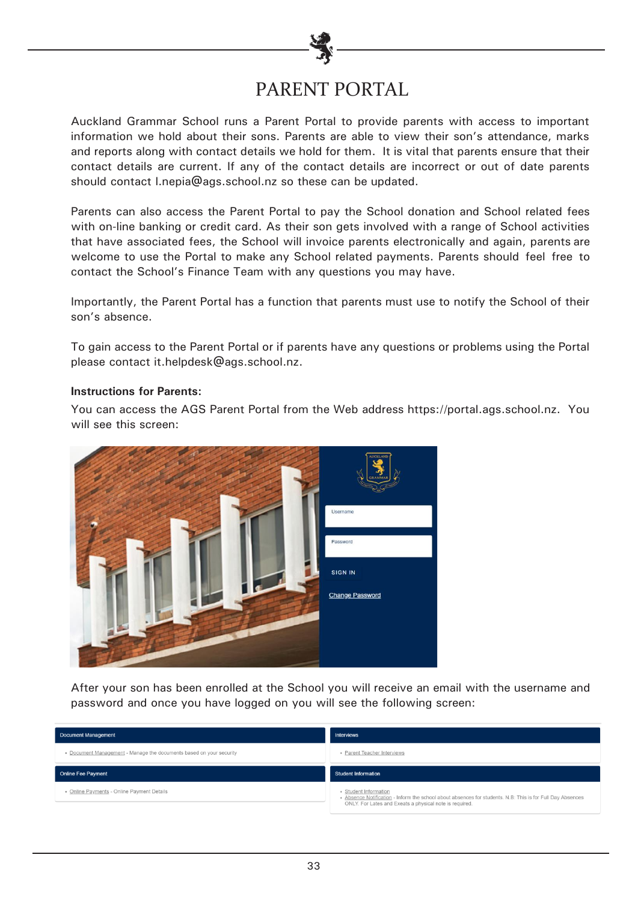# PARENT PORTAL

Auckland Grammar School runs a Parent Portal to provide parents with access to important information we hold about their sons. Parents are able to view their son's attendance, marks and reports along with contact details we hold for them. It is vital that parents ensure that their contact details are current. If any of the contact details are incorrect or out of date parents should contact l.nepia@ags.school.nz so these can be updated.

Parents can also access the Parent Portal to pay the School donation and School related fees with on-line banking or credit card. As their son gets involved with a range of School activities that have associated fees, the School will invoice parents electronically and again, parents are welcome to use the Portal to make any School related payments. Parents should feel free to contact the School's Finance Team with any questions you may have.

Importantly, the Parent Portal has a function that parents must use to notify the School of their son's absence.

To gain access to the Parent Portal or if parents have any questions or problems using the Portal please contact it.helpdesk@ags.school.nz.

#### **Instructions for Parents:**

You can access the AGS Parent Portal from the Web address https://portal.ags.school.nz. You will see this screen:



After your son has been enrolled at the School you will receive an email with the username and password and once you have logged on you will see the following screen:

| Document Management                                                 | <b>Interviews</b>           |
|---------------------------------------------------------------------|-----------------------------|
| . Document Management - Manage the documents based on your security | • Parent Teacher Interviews |
| <b>Online Fee Payment</b>                                           | <b>Student Information</b>  |
|                                                                     |                             |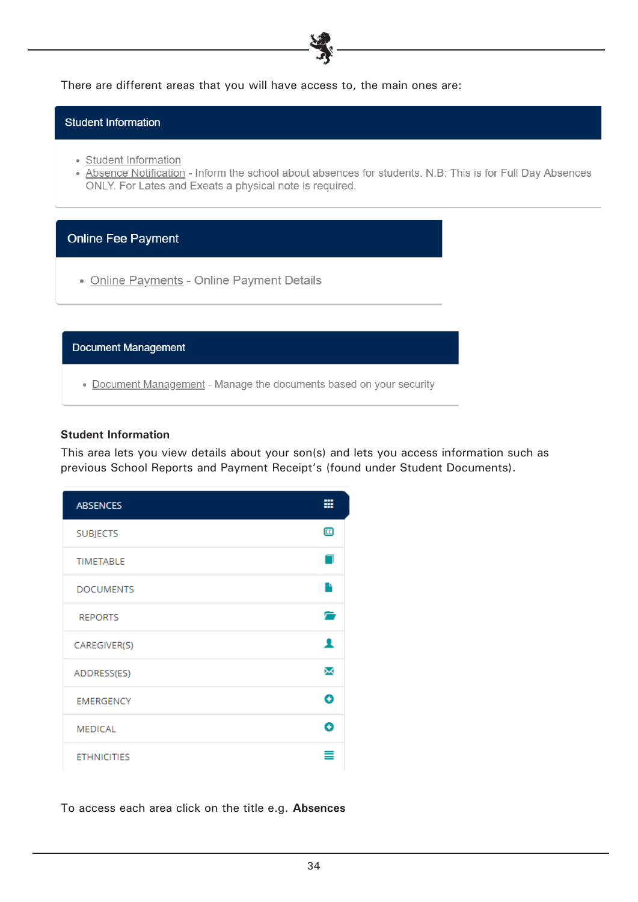There are different areas that you will have access to, the main ones are:

**Student Information** 

- Student Information
- Absence Notification Inform the school about absences for students. N.B: This is for Full Day Absences ONLY. For Lates and Exeats a physical note is required.

## **Online Fee Payment**

• Online Payments - Online Payment Details

**Document Management** 

• Document Management - Manage the documents based on your security

#### **Student Information**

This area lets you view details about your son(s) and lets you access information such as previous School Reports and Payment Receipt's (found under Student Documents).

| <b>ABSENCES</b>    | ▦ |
|--------------------|---|
| <b>SUBJECTS</b>    | 匝 |
| <b>TIMETABLE</b>   |   |
| <b>DOCUMENTS</b>   | Ŀ |
| <b>REPORTS</b>     |   |
| CAREGIVER(S)       |   |
| ADDRESS(ES)        | ⋈ |
| <b>EMERGENCY</b>   | ω |
| <b>MEDICAL</b>     | B |
| <b>ETHNICITIES</b> |   |

To access each area click on the title e.g. **Absences**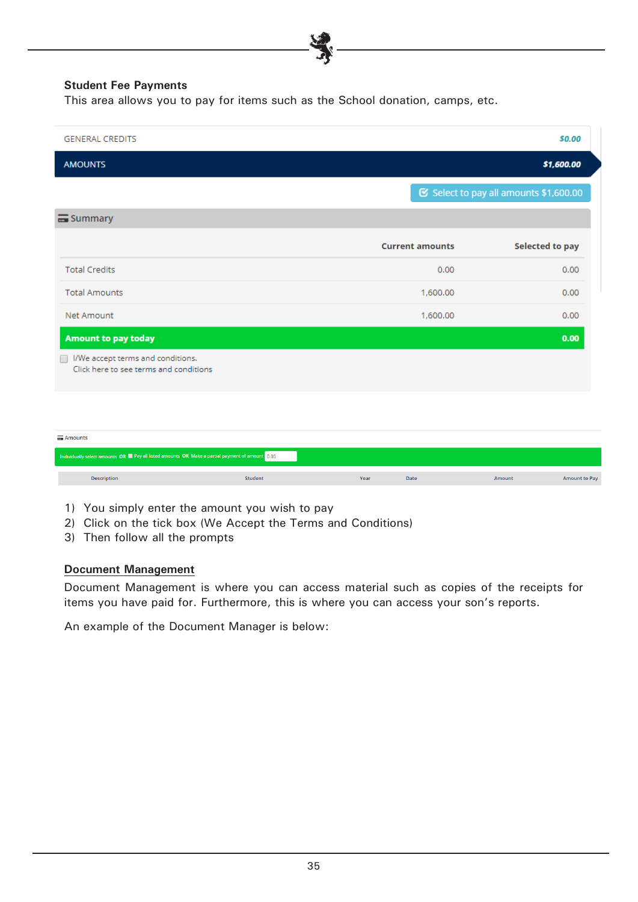## **Student Fee Payments**

This area allows you to pay for items such as the School donation, camps, etc.

| <b>GENERAL CREDITS</b>                                                                                          |         |                        | \$0.00                                 |
|-----------------------------------------------------------------------------------------------------------------|---------|------------------------|----------------------------------------|
| <b>AMOUNTS</b>                                                                                                  |         |                        | \$1,600.00                             |
|                                                                                                                 |         |                        | ■ Select to pay all amounts \$1,600.00 |
| Summary                                                                                                         |         |                        |                                        |
|                                                                                                                 |         | <b>Current amounts</b> | <b>Selected to pay</b>                 |
| <b>Total Credits</b>                                                                                            |         | 0.00                   | 0.00                                   |
| <b>Total Amounts</b>                                                                                            |         | 1,600.00               | 0.00                                   |
| Net Amount                                                                                                      |         | 1,600.00               | 0.00                                   |
| <b>Amount to pay today</b><br>I/We accept terms and conditions.<br>n.<br>Click here to see terms and conditions |         |                        | 0.00                                   |
| <b>E</b> Amounts                                                                                                |         |                        |                                        |
| Individually select amounts OR Pay all listed amounts OR Make a partial payment of amount 0.00                  |         |                        |                                        |
| <b>Description</b>                                                                                              | Student | Year<br>Date           | <b>Amount to Pay</b><br><b>Amount</b>  |

- 1) You simply enter the amount you wish to pay
- 2) Click on the tick box (We Accept the Terms and Conditions)
- 3) Then follow all the prompts

#### **Document Management**

Document Management is where you can access material such as copies of the receipts for items you have paid for. Furthermore, this is where you can access your son's reports.

An example of the Document Manager is below: